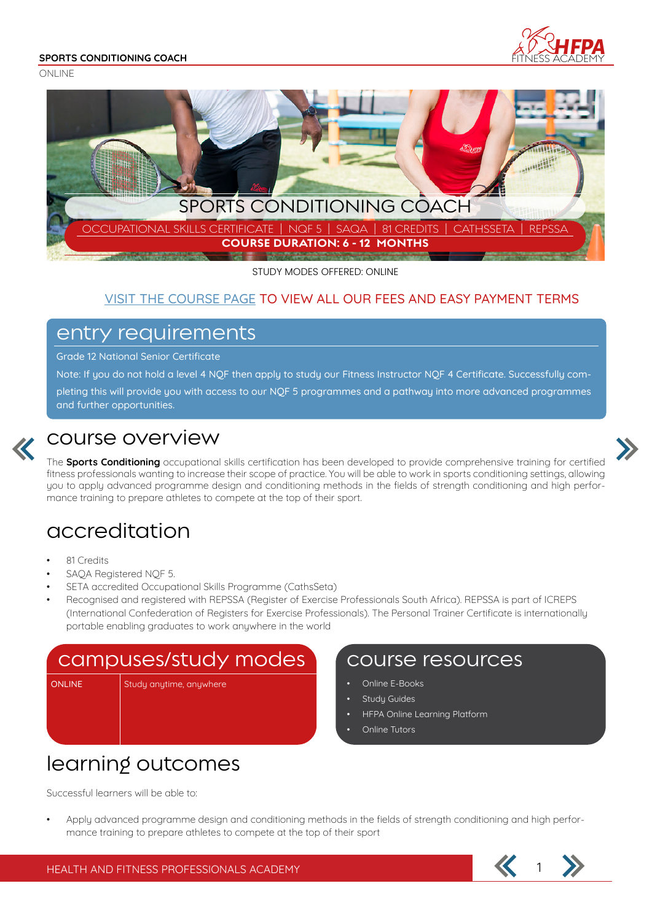#### **SPORTS CONDITIONING COACH**







STUDY MODES OFFERED: ONLINE

### VISIT THE COURSE PAGE TO VIEW ALL OUR FEES AND EASY PAYMENT TERMS

### entry requirements

Grade 12 National Senior Certificate

Note: If you do not hold a level 4 NQF then apply to study our Fitness Instructor NQF 4 Certificate. Successfully completing this will provide you with access to our NQF 5 programmes and a pathway into more advanced programmes

and further opportunities.



### course overview

The **Sports Conditioning** occupational skills certification has been developed to provide comprehensive training for certified fitness professionals wanting to increase their scope of practice. You will be able to work in sports conditioning settings, allowing you to apply advanced programme design and conditioning methods in the fields of strength conditioning and high performance training to prepare athletes to compete at the top of their sport.

## accreditation

- 81 Credits
- SAQA Registered NQF 5.
- SETA accredited Occupational Skills Programme (CathsSeta)
- Recognised and registered with REPSSA (Register of Exercise Professionals South Africa). REPSSA is part of ICREPS (International Confederation of Registers for Exercise Professionals). The Personal Trainer Certificate is internationally portable enabling graduates to work anywhere in the world

### campuses/study modes | Course resources

ONLINE Study anytime, anywhere

- Online E-Books
- **Study Guides**
- HFPA Online Learning Platform
- Online Tutors

# learning outcomes

Successful learners will be able to:

• Apply advanced programme design and conditioning methods in the fields of strength conditioning and high performance training to prepare athletes to compete at the top of their sport